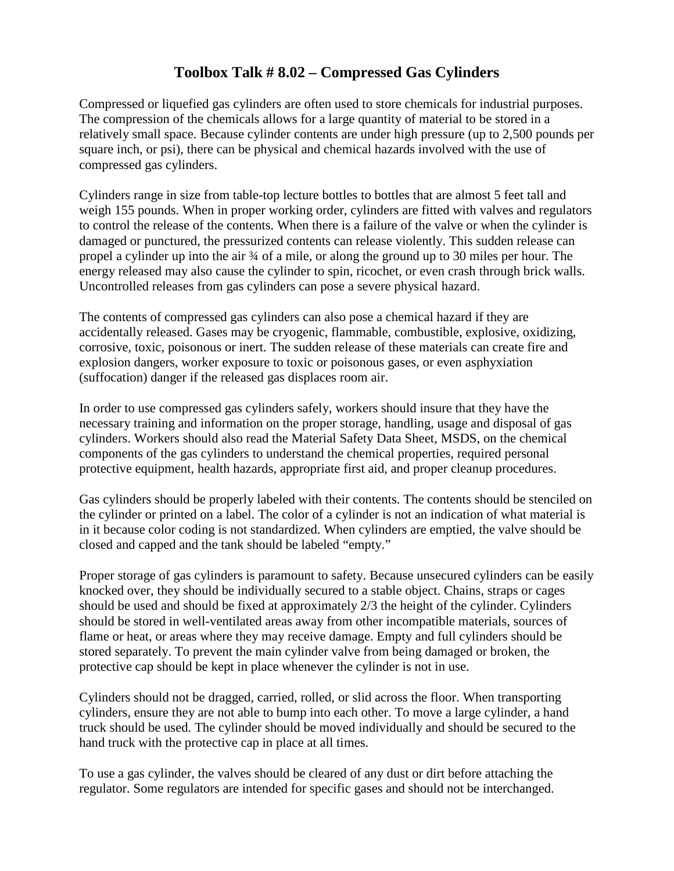## **Toolbox Talk # 8.02 – Compressed Gas Cylinders**

Compressed or liquefied gas cylinders are often used to store chemicals for industrial purposes. The compression of the chemicals allows for a large quantity of material to be stored in a relatively small space. Because cylinder contents are under high pressure (up to 2,500 pounds per square inch, or psi), there can be physical and chemical hazards involved with the use of compressed gas cylinders.

Cylinders range in size from table-top lecture bottles to bottles that are almost 5 feet tall and weigh 155 pounds. When in proper working order, cylinders are fitted with valves and regulators to control the release of the contents. When there is a failure of the valve or when the cylinder is damaged or punctured, the pressurized contents can release violently. This sudden release can propel a cylinder up into the air ¾ of a mile, or along the ground up to 30 miles per hour. The energy released may also cause the cylinder to spin, ricochet, or even crash through brick walls. Uncontrolled releases from gas cylinders can pose a severe physical hazard.

The contents of compressed gas cylinders can also pose a chemical hazard if they are accidentally released. Gases may be cryogenic, flammable, combustible, explosive, oxidizing, corrosive, toxic, poisonous or inert. The sudden release of these materials can create fire and explosion dangers, worker exposure to toxic or poisonous gases, or even asphyxiation (suffocation) danger if the released gas displaces room air.

In order to use compressed gas cylinders safely, workers should insure that they have the necessary training and information on the proper storage, handling, usage and disposal of gas cylinders. Workers should also read the Material Safety Data Sheet, MSDS, on the chemical components of the gas cylinders to understand the chemical properties, required personal protective equipment, health hazards, appropriate first aid, and proper cleanup procedures.

Gas cylinders should be properly labeled with their contents. The contents should be stenciled on the cylinder or printed on a label. The color of a cylinder is not an indication of what material is in it because color coding is not standardized. When cylinders are emptied, the valve should be closed and capped and the tank should be labeled "empty."

Proper storage of gas cylinders is paramount to safety. Because unsecured cylinders can be easily knocked over, they should be individually secured to a stable object. Chains, straps or cages should be used and should be fixed at approximately 2/3 the height of the cylinder. Cylinders should be stored in well-ventilated areas away from other incompatible materials, sources of flame or heat, or areas where they may receive damage. Empty and full cylinders should be stored separately. To prevent the main cylinder valve from being damaged or broken, the protective cap should be kept in place whenever the cylinder is not in use.

Cylinders should not be dragged, carried, rolled, or slid across the floor. When transporting cylinders, ensure they are not able to bump into each other. To move a large cylinder, a hand truck should be used. The cylinder should be moved individually and should be secured to the hand truck with the protective cap in place at all times.

To use a gas cylinder, the valves should be cleared of any dust or dirt before attaching the regulator. Some regulators are intended for specific gases and should not be interchanged.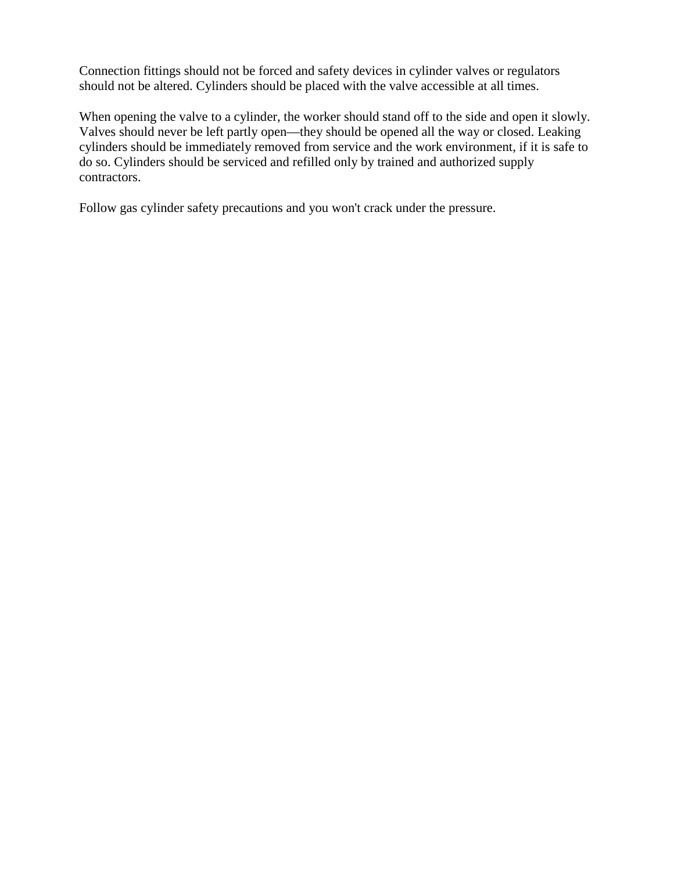Connection fittings should not be forced and safety devices in cylinder valves or regulators should not be altered. Cylinders should be placed with the valve accessible at all times.

When opening the valve to a cylinder, the worker should stand off to the side and open it slowly. Valves should never be left partly open—they should be opened all the way or closed. Leaking cylinders should be immediately removed from service and the work environment, if it is safe to do so. Cylinders should be serviced and refilled only by trained and authorized supply contractors.

Follow gas cylinder safety precautions and you won't crack under the pressure.